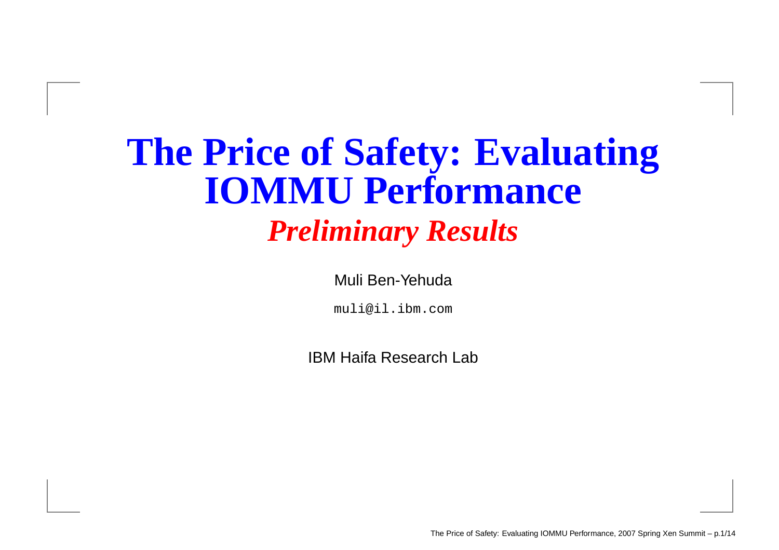#### **The Price of Safety: Evaluating IOMMU Performance** *Preliminary Results*

Muli Ben-Yehuda

muli@il.ibm.com

IBM Haifa Research Lab

The Price of Safety: Evaluating IOMMU Performance, 2007 Spring Xen Summit – p.1/14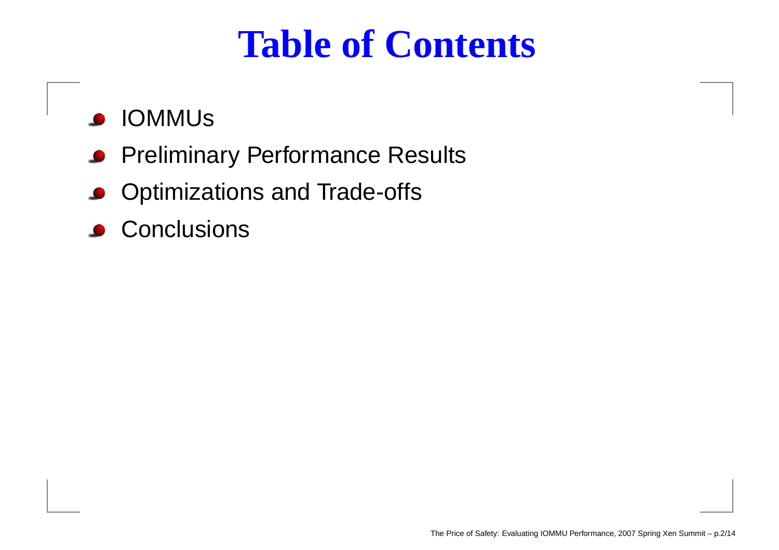#### **Table of Contents**

- IOMMUs
- **Preliminary Performance Results**
- **Optimizations and Trade-offs**
- Conclusions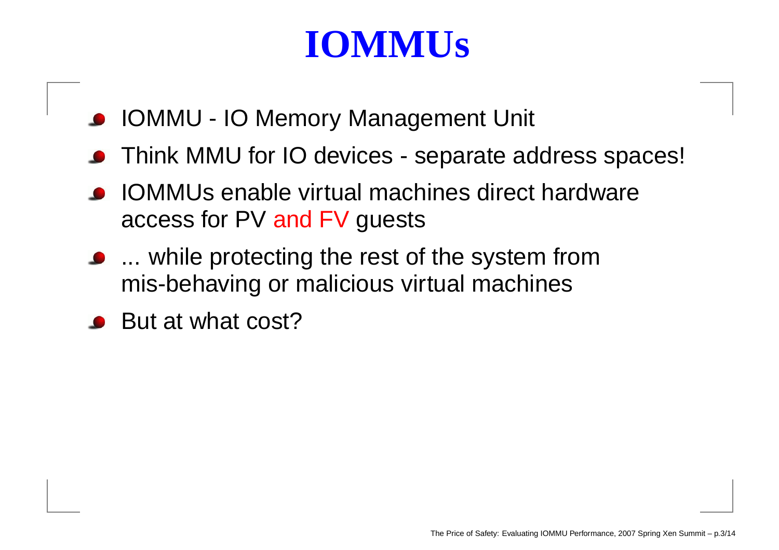#### **IOMMUs**

- IOMMU IO Memory Management Unit
- Think MMU for IO devices separate address spaces!
- IOMMUs enable virtual machines direct hardware access for PV and FV guests
- ... while protecting the rest of the system from mis-behaving or malicious virtual machines
- But at what cost?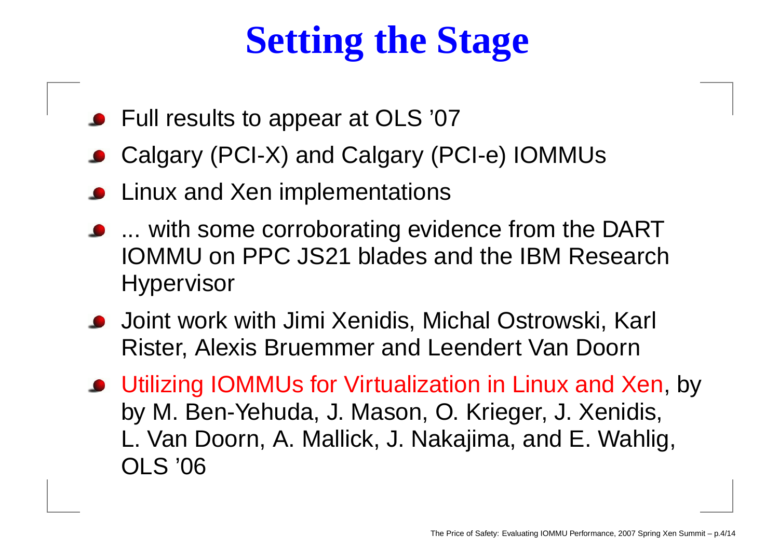# **Setting the Stage**

- Full results to appear at OLS '07
- Calgary (PCI-X) and Calgary (PCI-e) IOMMUs
- Linux and Xen implementations
- ... with some corroborating evidence from the DART IOMMU on PPC JS21 blades and the IBM Research **Hypervisor**
- Joint work with Jimi Xenidis, Michal Ostrowski, Karl Rister, Alexis Bruemmer and Leendert Van Doorn
- Utilizing IOMMUs for Virtualization in Linux and Xen, by by M. Ben-Yehuda, J. Mason, O. Krieger, J. Xenidis, L. Van Doorn, A. Mallick, J. Nakajima, and E. Wahlig, OLS '06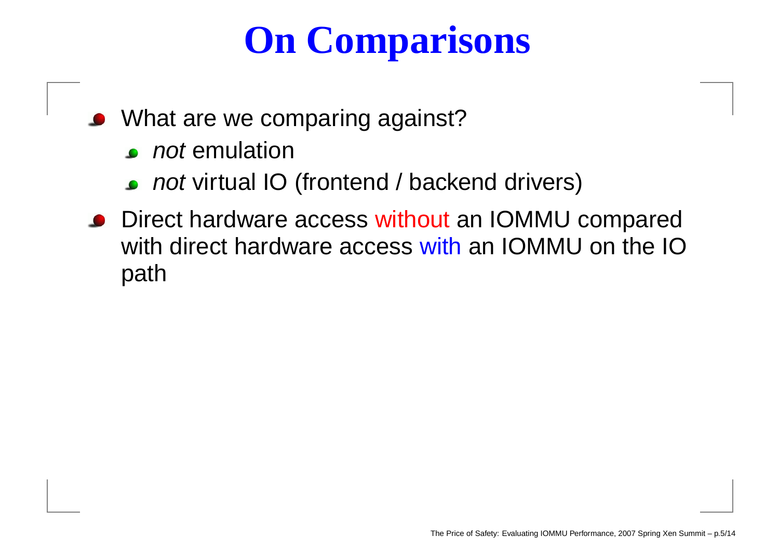# **On Comparisons**

- What are we comparing against?
	- **not emulation**
	- not virtual IO (frontend / backend drivers)
- Direct hardware access without an IOMMU compared with direct hardware access with an IOMMU on the IO path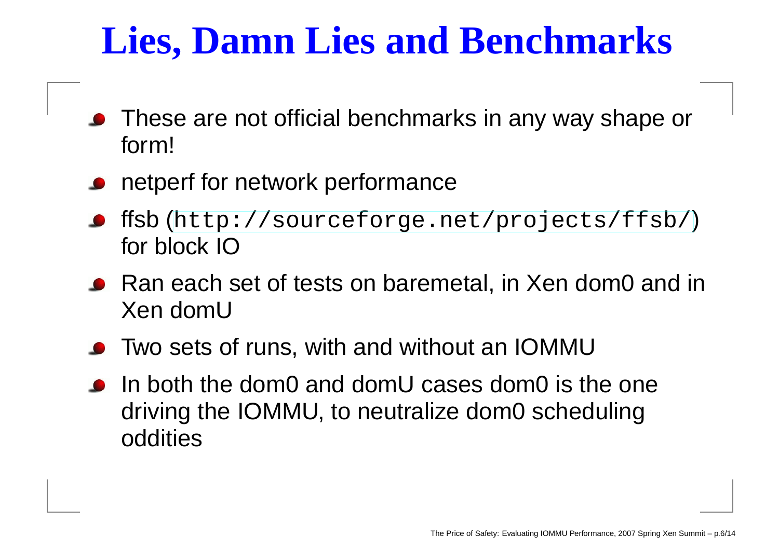### **Lies, Damn Lies and Benchmarks**

- These are not official benchmarks in any way shape or form!
- **P** netperf for network performance
- ffsb ([http://sourceforge](http://sourceforge.net/projects/ffsb/).[net/projects/ffs](http://sourceforge.net/projects/ffsb/)b/) for block IO
- Ran each set of tests on baremetal, in Xen dom0 and in Xen domU
- Two sets of runs, with and without an IOMMU
- In both the dom0 and domU cases dom0 is the one driving the IOMMU, to neutralize dom0 scheduling oddities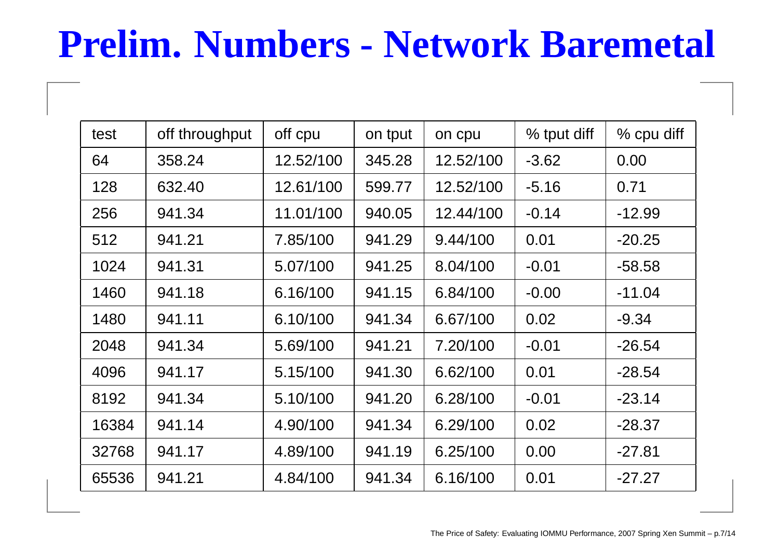### **Prelim. Numbers - Network Baremetal**

| test  | off throughput | off cpu   | on tput | on cpu    | % tput diff | % cpu diff |
|-------|----------------|-----------|---------|-----------|-------------|------------|
| 64    | 358.24         | 12.52/100 | 345.28  | 12.52/100 | $-3.62$     | 0.00       |
| 128   | 632.40         | 12.61/100 | 599.77  | 12.52/100 | $-5.16$     | 0.71       |
| 256   | 941.34         | 11.01/100 | 940.05  | 12.44/100 | $-0.14$     | $-12.99$   |
| 512   | 941.21         | 7.85/100  | 941.29  | 9.44/100  | 0.01        | $-20.25$   |
| 1024  | 941.31         | 5.07/100  | 941.25  | 8.04/100  | $-0.01$     | $-58.58$   |
| 1460  | 941.18         | 6.16/100  | 941.15  | 6.84/100  | $-0.00$     | $-11.04$   |
| 1480  | 941.11         | 6.10/100  | 941.34  | 6.67/100  | 0.02        | $-9.34$    |
| 2048  | 941.34         | 5.69/100  | 941.21  | 7.20/100  | $-0.01$     | $-26.54$   |
| 4096  | 941.17         | 5.15/100  | 941.30  | 6.62/100  | 0.01        | $-28.54$   |
| 8192  | 941.34         | 5.10/100  | 941.20  | 6.28/100  | $-0.01$     | $-23.14$   |
| 16384 | 941.14         | 4.90/100  | 941.34  | 6.29/100  | 0.02        | $-28.37$   |
| 32768 | 941.17         | 4.89/100  | 941.19  | 6.25/100  | 0.00        | $-27.81$   |
| 65536 | 941.21         | 4.84/100  | 941.34  | 6.16/100  | 0.01        | $-27.27$   |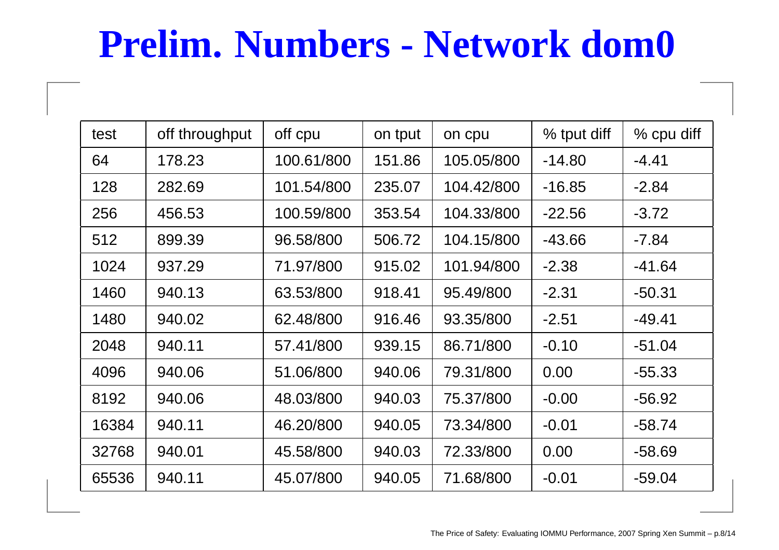### **Prelim. Numbers - Network dom0**

| test  | off throughput | off cpu    | on tput | on cpu     | % tput diff | % cpu diff |
|-------|----------------|------------|---------|------------|-------------|------------|
| 64    | 178.23         | 100.61/800 | 151.86  | 105.05/800 | $-14.80$    | $-4.41$    |
| 128   | 282.69         | 101.54/800 | 235.07  | 104.42/800 | $-16.85$    | $-2.84$    |
| 256   | 456.53         | 100.59/800 | 353.54  | 104.33/800 | $-22.56$    | $-3.72$    |
| 512   | 899.39         | 96.58/800  | 506.72  | 104.15/800 | $-43.66$    | $-7.84$    |
| 1024  | 937.29         | 71.97/800  | 915.02  | 101.94/800 | $-2.38$     | $-41.64$   |
| 1460  | 940.13         | 63.53/800  | 918.41  | 95.49/800  | $-2.31$     | $-50.31$   |
| 1480  | 940.02         | 62.48/800  | 916.46  | 93.35/800  | $-2.51$     | $-49.41$   |
| 2048  | 940.11         | 57.41/800  | 939.15  | 86.71/800  | $-0.10$     | $-51.04$   |
| 4096  | 940.06         | 51.06/800  | 940.06  | 79.31/800  | 0.00        | $-55.33$   |
| 8192  | 940.06         | 48.03/800  | 940.03  | 75.37/800  | $-0.00$     | $-56.92$   |
| 16384 | 940.11         | 46.20/800  | 940.05  | 73.34/800  | $-0.01$     | $-58.74$   |
| 32768 | 940.01         | 45.58/800  | 940.03  | 72.33/800  | 0.00        | $-58.69$   |
| 65536 | 940.11         | 45.07/800  | 940.05  | 71.68/800  | $-0.01$     | $-59.04$   |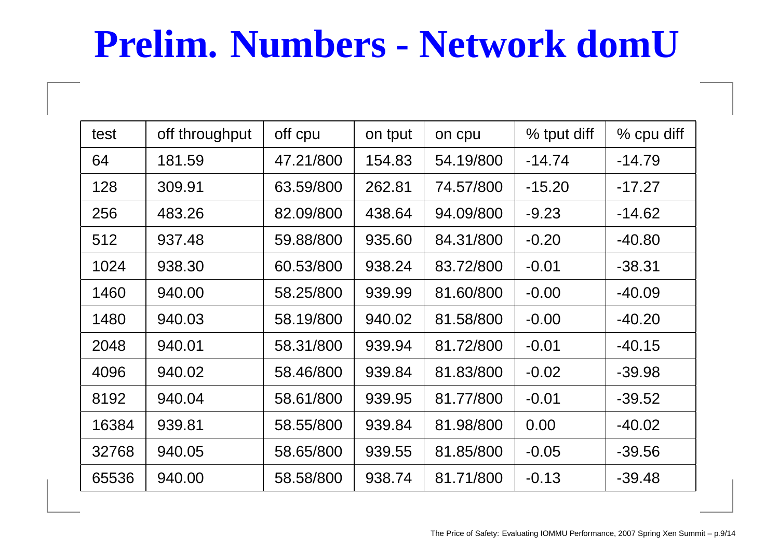### **Prelim. Numbers - Network domU**

| test  | off throughput | off cpu   | on tput | on cpu    | % tput diff | % cpu diff |
|-------|----------------|-----------|---------|-----------|-------------|------------|
| 64    | 181.59         | 47.21/800 | 154.83  | 54.19/800 | $-14.74$    | $-14.79$   |
| 128   | 309.91         | 63.59/800 | 262.81  | 74.57/800 | $-15.20$    | $-17.27$   |
| 256   | 483.26         | 82.09/800 | 438.64  | 94.09/800 | $-9.23$     | $-14.62$   |
| 512   | 937.48         | 59.88/800 | 935.60  | 84.31/800 | $-0.20$     | $-40.80$   |
| 1024  | 938.30         | 60.53/800 | 938.24  | 83.72/800 | $-0.01$     | $-38.31$   |
| 1460  | 940.00         | 58.25/800 | 939.99  | 81.60/800 | $-0.00$     | $-40.09$   |
| 1480  | 940.03         | 58.19/800 | 940.02  | 81.58/800 | $-0.00$     | $-40.20$   |
| 2048  | 940.01         | 58.31/800 | 939.94  | 81.72/800 | $-0.01$     | $-40.15$   |
| 4096  | 940.02         | 58.46/800 | 939.84  | 81.83/800 | $-0.02$     | $-39.98$   |
| 8192  | 940.04         | 58.61/800 | 939.95  | 81.77/800 | $-0.01$     | $-39.52$   |
| 16384 | 939.81         | 58.55/800 | 939.84  | 81.98/800 | 0.00        | $-40.02$   |
| 32768 | 940.05         | 58.65/800 | 939.55  | 81.85/800 | $-0.05$     | $-39.56$   |
| 65536 | 940.00         | 58.58/800 | 938.74  | 81.71/800 | $-0.13$     | $-39.48$   |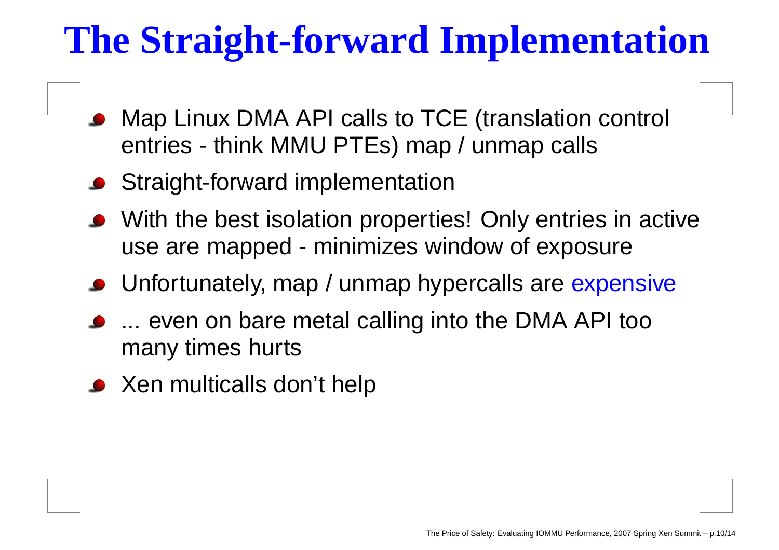# **The Straight-forward Implementation**

- Map Linux DMA API calls to TCE (translation control entries - think MMU PTEs) map / unmap calls
- **Straight-forward implementation**
- With the best isolation properties! Only entries in active use are mapped - minimizes window of exposure
- Unfortunately, map / unmap hypercalls are expensive
- ... even on bare metal calling into the DMA API too many times hurts
- Xen multicalls don't help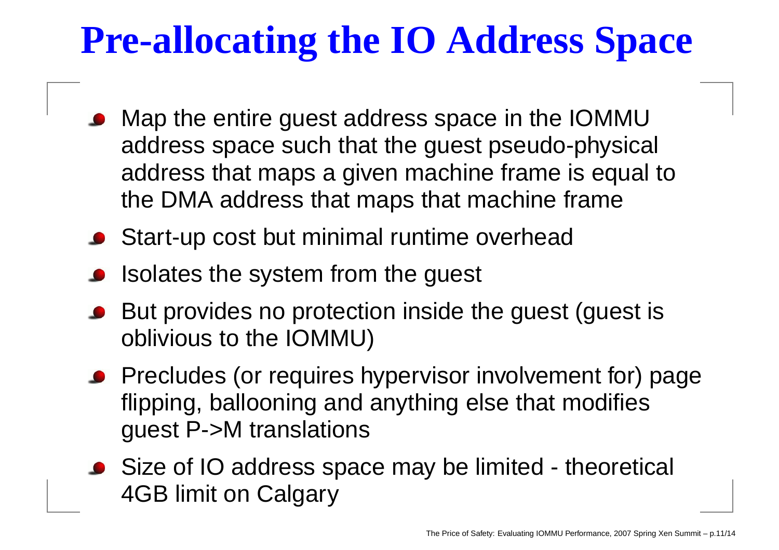## **Pre-allocating the IO Address Space**

- Map the entire guest address space in the IOMMU address space such that the guest pseudo-physical address that maps <sup>a</sup> given machine frame is equal to the DMA address that maps that machine frame
- **Start-up cost but minimal runtime overhead**
- Isolates the system from the guest
- But provides no protection inside the guest (guest is oblivious to the IOMMU)
- Precludes (or requires hypervisor involvement for) page flipping, ballooning and anything else that modifies guest P->M translations
- Size of IO address space may be limited theoretical 4GB limit on Calgary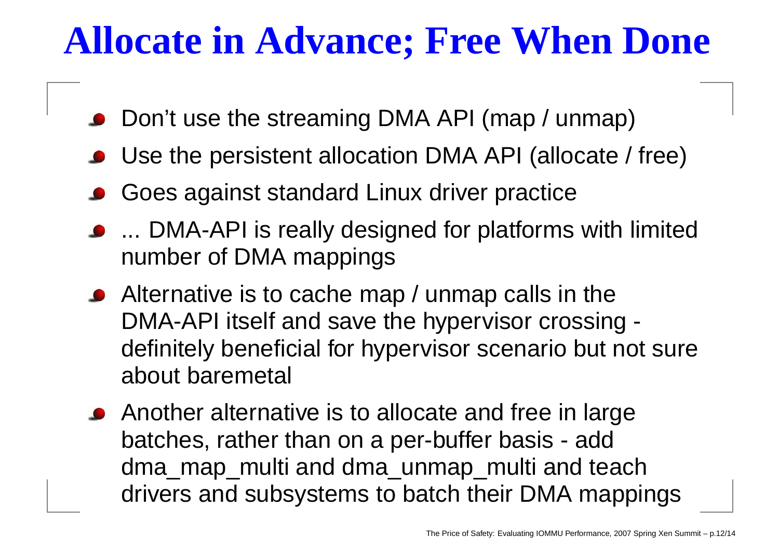#### **Allocate in Advance; Free When Done**

- Don't use the streaming DMA API (map / unmap)
- Use the persistent allocation DMA API (allocate / free)
- Goes against standard Linux driver practice
- ... DMA-API is really designed for platforms with limited number of DMA mappings
- Alternative is to cache map / unmap calls in the DMA-API itself and save the hypervisor crossing definitely beneficial for hypervisor scenario but not sure about baremetal
- Another alternative is to allocate and free in large batches, rather than on <sup>a</sup> per-buffer basis - add dma map\_multi and dma\_unmap\_multi and teach drivers and subsystems to batch their DMA mappings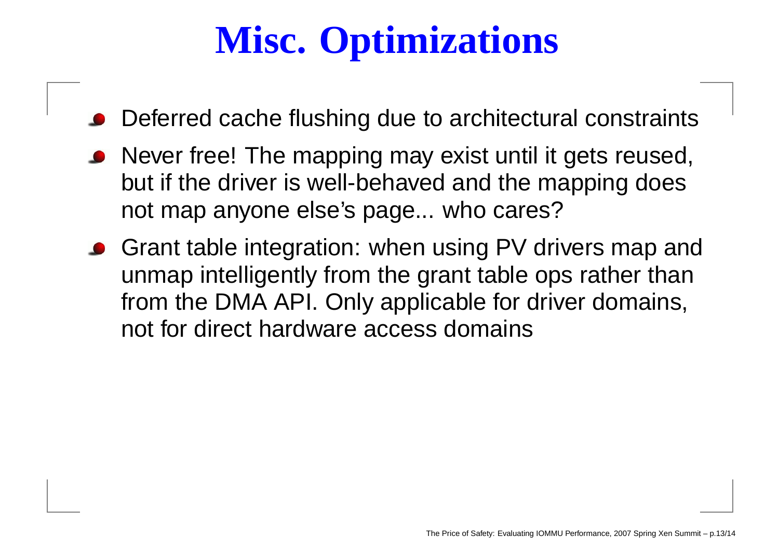# **Misc. Optimizations**

- Deferred cache flushing due to architectural constraints
- Never free! The mapping may exist until it gets reused, but if the driver is well-behaved and the mapping does not map anyone else's page... who cares?
- Grant table integration: when using PV drivers map and unmap intelligently from the grant table ops rather than from the DMA API. Only applicable for driver domains, not for direct hardware access domains